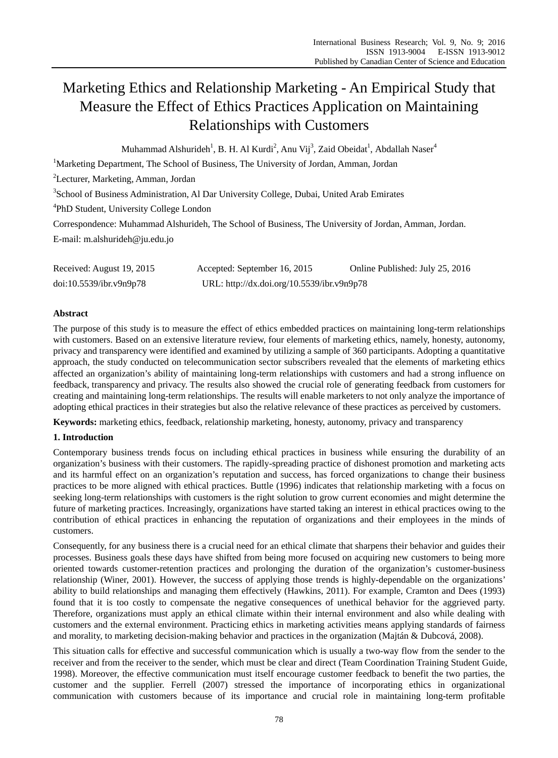# Marketing Ethics and Relationship Marketing - An Empirical Study that Measure the Effect of Ethics Practices Application on Maintaining Relationships with Customers

Muhammad Alshurideh<sup>1</sup>, B. H. Al Kurdi<sup>2</sup>, Anu Vij<sup>3</sup>, Zaid Obeidat<sup>1</sup>, Abdallah Naser<sup>4</sup>

<sup>1</sup>Marketing Department, The School of Business, The University of Jordan, Amman, Jordan

<sup>2</sup>Lecturer, Marketing, Amman, Jordan

<sup>3</sup> School of Business Administration, Al Dar University College, Dubai, United Arab Emirates

4 PhD Student, University College London

Correspondence: Muhammad Alshurideh, The School of Business, The University of Jordan, Amman, Jordan. E-mail: m.alshurideh@ju.edu.jo

| Received: August 19, 2015 | Accepted: September 16, 2015               | Online Published: July 25, 2016 |
|---------------------------|--------------------------------------------|---------------------------------|
| doi:10.5539/ibr.v9n9p78   | URL: http://dx.doi.org/10.5539/ibr.v9n9p78 |                                 |

### **Abstract**

The purpose of this study is to measure the effect of ethics embedded practices on maintaining long-term relationships with customers. Based on an extensive literature review, four elements of marketing ethics, namely, honesty, autonomy, privacy and transparency were identified and examined by utilizing a sample of 360 participants. Adopting a quantitative approach, the study conducted on telecommunication sector subscribers revealed that the elements of marketing ethics affected an organization's ability of maintaining long-term relationships with customers and had a strong influence on feedback, transparency and privacy. The results also showed the crucial role of generating feedback from customers for creating and maintaining long-term relationships. The results will enable marketers to not only analyze the importance of adopting ethical practices in their strategies but also the relative relevance of these practices as perceived by customers.

**Keywords:** marketing ethics, feedback, relationship marketing, honesty, autonomy, privacy and transparency

### **1. Introduction**

Contemporary business trends focus on including ethical practices in business while ensuring the durability of an organization's business with their customers. The rapidly-spreading practice of dishonest promotion and marketing acts and its harmful effect on an organization's reputation and success, has forced organizations to change their business practices to be more aligned with ethical practices. Buttle (1996) indicates that relationship marketing with a focus on seeking long-term relationships with customers is the right solution to grow current economies and might determine the future of marketing practices. Increasingly, organizations have started taking an interest in ethical practices owing to the contribution of ethical practices in enhancing the reputation of organizations and their employees in the minds of customers.

Consequently, for any business there is a crucial need for an ethical climate that sharpens their behavior and guides their processes. Business goals these days have shifted from being more focused on acquiring new customers to being more oriented towards customer-retention practices and prolonging the duration of the organization's customer-business relationship (Winer, 2001). However, the success of applying those trends is highly-dependable on the organizations' ability to build relationships and managing them effectively (Hawkins, 2011). For example, Cramton and Dees (1993) found that it is too costly to compensate the negative consequences of unethical behavior for the aggrieved party. Therefore, organizations must apply an ethical climate within their internal environment and also while dealing with customers and the external environment. Practicing ethics in marketing activities means applying standards of fairness and morality, to marketing decision-making behavior and practices in the organization (Majtán & Dubcová, 2008).

This situation calls for effective and successful communication which is usually a two-way flow from the sender to the receiver and from the receiver to the sender, which must be clear and direct (Team Coordination Training Student Guide, 1998). Moreover, the effective communication must itself encourage customer feedback to benefit the two parties, the customer and the supplier. Ferrell (2007) stressed the importance of incorporating ethics in organizational communication with customers because of its importance and crucial role in maintaining long-term profitable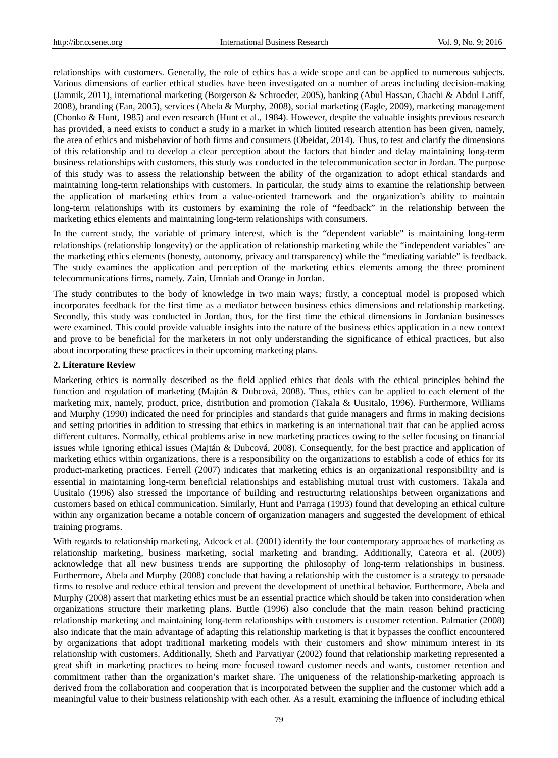relationships with customers. Generally, the role of ethics has a wide scope and can be applied to numerous subjects. Various dimensions of earlier ethical studies have been investigated on a number of areas including decision-making (Jamnik, 2011), international marketing (Borgerson & Schroeder, 2005), banking (Abul Hassan, Chachi & Abdul Latiff, 2008), branding (Fan, 2005), services (Abela & Murphy, 2008), social marketing (Eagle, 2009), marketing management (Chonko & Hunt, 1985) and even research (Hunt et al., 1984). However, despite the valuable insights previous research has provided, a need exists to conduct a study in a market in which limited research attention has been given, namely, the area of ethics and misbehavior of both firms and consumers (Obeidat, 2014). Thus, to test and clarify the dimensions of this relationship and to develop a clear perception about the factors that hinder and delay maintaining long-term business relationships with customers, this study was conducted in the telecommunication sector in Jordan. The purpose of this study was to assess the relationship between the ability of the organization to adopt ethical standards and maintaining long-term relationships with customers. In particular, the study aims to examine the relationship between the application of marketing ethics from a value-oriented framework and the organization's ability to maintain long-term relationships with its customers by examining the role of "feedback" in the relationship between the marketing ethics elements and maintaining long-term relationships with consumers.

In the current study, the variable of primary interest, which is the "dependent variable" is maintaining long-term relationships (relationship longevity) or the application of relationship marketing while the "independent variables" are the marketing ethics elements (honesty, autonomy, privacy and transparency) while the "mediating variable" is feedback. The study examines the application and perception of the marketing ethics elements among the three prominent telecommunications firms, namely. Zain, Umniah and Orange in Jordan.

The study contributes to the body of knowledge in two main ways; firstly, a conceptual model is proposed which incorporates feedback for the first time as a mediator between business ethics dimensions and relationship marketing. Secondly, this study was conducted in Jordan, thus, for the first time the ethical dimensions in Jordanian businesses were examined. This could provide valuable insights into the nature of the business ethics application in a new context and prove to be beneficial for the marketers in not only understanding the significance of ethical practices, but also about incorporating these practices in their upcoming marketing plans.

#### **2. Literature Review**

Marketing ethics is normally described as the field applied ethics that deals with the ethical principles behind the function and regulation of marketing (Majtán & Dubcová, 2008). Thus, ethics can be applied to each element of the marketing mix, namely, product, price, distribution and promotion (Takala & Uusitalo, 1996). Furthermore, Williams and Murphy (1990) indicated the need for principles and standards that guide managers and firms in making decisions and setting priorities in addition to stressing that ethics in marketing is an international trait that can be applied across different cultures. Normally, ethical problems arise in new marketing practices owing to the seller focusing on financial issues while ignoring ethical issues (Majtán & Dubcová, 2008). Consequently, for the best practice and application of marketing ethics within organizations, there is a responsibility on the organizations to establish a code of ethics for its product-marketing practices. Ferrell (2007) indicates that marketing ethics is an organizational responsibility and is essential in maintaining long-term beneficial relationships and establishing mutual trust with customers. Takala and Uusitalo (1996) also stressed the importance of building and restructuring relationships between organizations and customers based on ethical communication. Similarly, Hunt and Parraga (1993) found that developing an ethical culture within any organization became a notable concern of organization managers and suggested the development of ethical training programs.

With regards to relationship marketing, Adcock et al. (2001) identify the four contemporary approaches of marketing as relationship marketing, business marketing, social marketing and branding. Additionally, Cateora et al. (2009) acknowledge that all new business trends are supporting the philosophy of long-term relationships in business. Furthermore, Abela and Murphy (2008) conclude that having a relationship with the customer is a strategy to persuade firms to resolve and reduce ethical tension and prevent the development of unethical behavior. Furthermore, Abela and Murphy (2008) assert that marketing ethics must be an essential practice which should be taken into consideration when organizations structure their marketing plans. Buttle (1996) also conclude that the main reason behind practicing relationship marketing and maintaining long-term relationships with customers is customer retention. Palmatier (2008) also indicate that the main advantage of adapting this relationship marketing is that it bypasses the conflict encountered by organizations that adopt traditional marketing models with their customers and show minimum interest in its relationship with customers. Additionally, Sheth and Parvatiyar (2002) found that relationship marketing represented a great shift in marketing practices to being more focused toward customer needs and wants, customer retention and commitment rather than the organization's market share. The uniqueness of the relationship-marketing approach is derived from the collaboration and cooperation that is incorporated between the supplier and the customer which add a meaningful value to their business relationship with each other. As a result, examining the influence of including ethical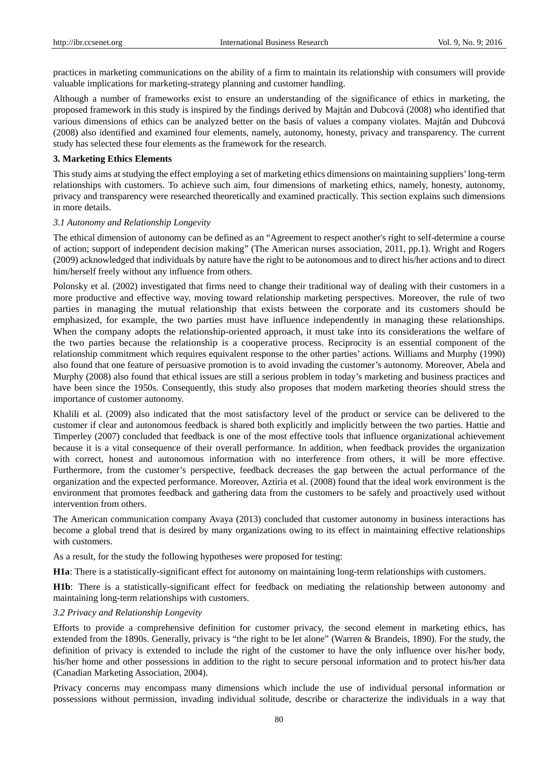practices in marketing communications on the ability of a firm to maintain its relationship with consumers will provide valuable implications for marketing-strategy planning and customer handling.

Although a number of frameworks exist to ensure an understanding of the significance of ethics in marketing, the proposed framework in this study is inspired by the findings derived by Majtán and Dubcová (2008) who identified that various dimensions of ethics can be analyzed better on the basis of values a company violates. Majtán and Dubcová (2008) also identified and examined four elements, namely, autonomy, honesty, privacy and transparency. The current study has selected these four elements as the framework for the research.

#### **3. Marketing Ethics Elements**

This study aims at studying the effect employing a set of marketing ethics dimensions on maintaining suppliers' long-term relationships with customers. To achieve such aim, four dimensions of marketing ethics, namely, honesty, autonomy, privacy and transparency were researched theoretically and examined practically. This section explains such dimensions in more details.

#### *3.1 Autonomy and Relationship Longevity*

The ethical dimension of autonomy can be defined as an "Agreement to respect another's right to self-determine a course of action; support of independent decision making" (The American nurses association, 2011, pp.1). Wright and Rogers (2009) acknowledged that individuals by nature have the right to be autonomous and to direct his/her actions and to direct him/herself freely without any influence from others.

Polonsky et al. (2002) investigated that firms need to change their traditional way of dealing with their customers in a more productive and effective way, moving toward relationship marketing perspectives. Moreover, the rule of two parties in managing the mutual relationship that exists between the corporate and its customers should be emphasized, for example, the two parties must have influence independently in managing these relationships. When the company adopts the relationship-oriented approach, it must take into its considerations the welfare of the two parties because the relationship is a cooperative process. Reciprocity is an essential component of the relationship commitment which requires equivalent response to the other parties' actions. Williams and Murphy (1990) also found that one feature of persuasive promotion is to avoid invading the customer's autonomy. Moreover, Abela and Murphy (2008) also found that ethical issues are still a serious problem in today's marketing and business practices and have been since the 1950s. Consequently, this study also proposes that modern marketing theories should stress the importance of customer autonomy.

Khalili et al. (2009) also indicated that the most satisfactory level of the product or service can be delivered to the customer if clear and autonomous feedback is shared both explicitly and implicitly between the two parties. Hattie and Timperley (2007) concluded that feedback is one of the most effective tools that influence organizational achievement because it is a vital consequence of their overall performance. In addition, when feedback provides the organization with correct, honest and autonomous information with no interference from others, it will be more effective. Furthermore, from the customer's perspective, feedback decreases the gap between the actual performance of the organization and the expected performance. Moreover, Aztiria et al. (2008) found that the ideal work environment is the environment that promotes feedback and gathering data from the customers to be safely and proactively used without intervention from others.

The American communication company Avaya (2013) concluded that customer autonomy in business interactions has become a global trend that is desired by many organizations owing to its effect in maintaining effective relationships with customers.

As a result, for the study the following hypotheses were proposed for testing:

**H1a**: There is a statistically-significant effect for autonomy on maintaining long-term relationships with customers.

**H1b**: There is a statistically-significant effect for feedback on mediating the relationship between autonomy and maintaining long-term relationships with customers.

#### *3.2 Privacy and Relationship Longevity*

Efforts to provide a comprehensive definition for customer privacy, the second element in marketing ethics, has extended from the 1890s. Generally, privacy is "the right to be let alone" (Warren & Brandeis, 1890). For the study, the definition of privacy is extended to include the right of the customer to have the only influence over his/her body, his/her home and other possessions in addition to the right to secure personal information and to protect his/her data (Canadian Marketing Association, 2004).

Privacy concerns may encompass many dimensions which include the use of individual personal information or possessions without permission, invading individual solitude, describe or characterize the individuals in a way that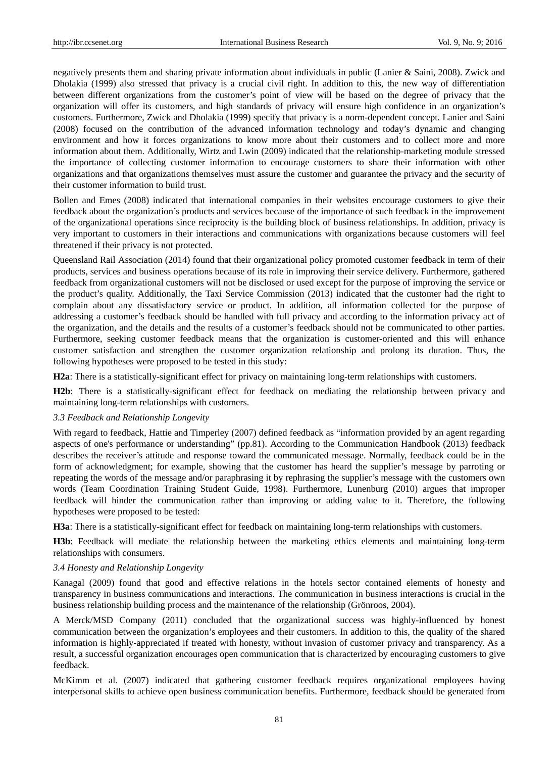negatively presents them and sharing private information about individuals in public (Lanier & Saini, 2008). Zwick and Dholakia (1999) also stressed that privacy is a crucial civil right. In addition to this, the new way of differentiation between different organizations from the customer's point of view will be based on the degree of privacy that the organization will offer its customers, and high standards of privacy will ensure high confidence in an organization's customers. Furthermore, Zwick and Dholakia (1999) specify that privacy is a norm-dependent concept. Lanier and Saini (2008) focused on the contribution of the advanced information technology and today's dynamic and changing environment and how it forces organizations to know more about their customers and to collect more and more information about them. Additionally, Wirtz and Lwin (2009) indicated that the relationship-marketing module stressed the importance of collecting customer information to encourage customers to share their information with other organizations and that organizations themselves must assure the customer and guarantee the privacy and the security of their customer information to build trust.

Bollen and Emes (2008) indicated that international companies in their websites encourage customers to give their feedback about the organization's products and services because of the importance of such feedback in the improvement of the organizational operations since reciprocity is the building block of business relationships. In addition, privacy is very important to customers in their interactions and communications with organizations because customers will feel threatened if their privacy is not protected.

Queensland Rail Association (2014) found that their organizational policy promoted customer feedback in term of their products, services and business operations because of its role in improving their service delivery. Furthermore, gathered feedback from organizational customers will not be disclosed or used except for the purpose of improving the service or the product's quality. Additionally, the Taxi Service Commission (2013) indicated that the customer had the right to complain about any dissatisfactory service or product. In addition, all information collected for the purpose of addressing a customer's feedback should be handled with full privacy and according to the information privacy act of the organization, and the details and the results of a customer's feedback should not be communicated to other parties. Furthermore, seeking customer feedback means that the organization is customer-oriented and this will enhance customer satisfaction and strengthen the customer organization relationship and prolong its duration. Thus, the following hypotheses were proposed to be tested in this study:

**H2a**: There is a statistically-significant effect for privacy on maintaining long-term relationships with customers.

**H2b**: There is a statistically-significant effect for feedback on mediating the relationship between privacy and maintaining long-term relationships with customers.

#### *3.3 Feedback and Relationship Longevity*

With regard to feedback, Hattie and Timperley (2007) defined feedback as "information provided by an agent regarding aspects of one's performance or understanding" (pp.81). According to the Communication Handbook (2013) feedback describes the receiver's attitude and response toward the communicated message. Normally, feedback could be in the form of acknowledgment; for example, showing that the customer has heard the supplier's message by parroting or repeating the words of the message and/or paraphrasing it by rephrasing the supplier's message with the customers own words (Team Coordination Training Student Guide, 1998). Furthermore, Lunenburg (2010) argues that improper feedback will hinder the communication rather than improving or adding value to it. Therefore, the following hypotheses were proposed to be tested:

**H3a**: There is a statistically-significant effect for feedback on maintaining long-term relationships with customers.

**H3b**: Feedback will mediate the relationship between the marketing ethics elements and maintaining long-term relationships with consumers.

#### *3.4 Honesty and Relationship Longevity*

Kanagal (2009) found that good and effective relations in the hotels sector contained elements of honesty and transparency in business communications and interactions. The communication in business interactions is crucial in the business relationship building process and the maintenance of the relationship (Grönroos, 2004).

A Merck/MSD Company (2011) concluded that the organizational success was highly-influenced by honest communication between the organization's employees and their customers. In addition to this, the quality of the shared information is highly-appreciated if treated with honesty, without invasion of customer privacy and transparency. As a result, a successful organization encourages open communication that is characterized by encouraging customers to give feedback.

McKimm et al. (2007) indicated that gathering customer feedback requires organizational employees having interpersonal skills to achieve open business communication benefits. Furthermore, feedback should be generated from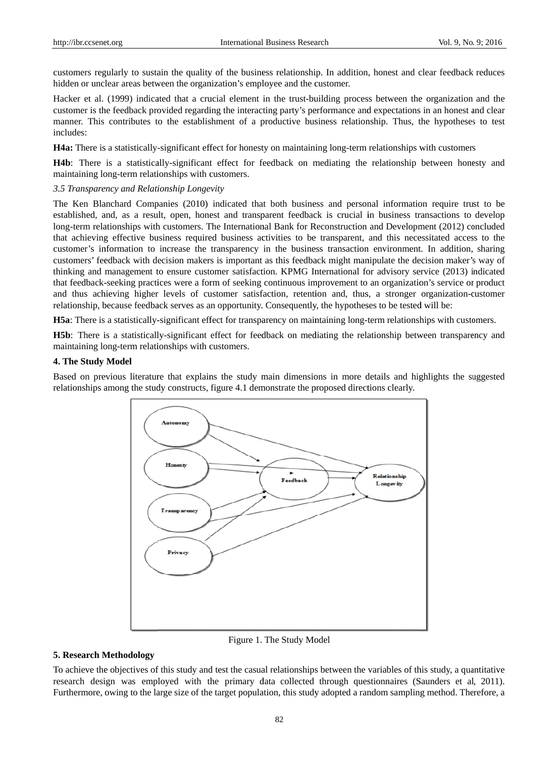customers regularly to sustain the quality of the business relationship. In addition, honest and clear feedback reduces hidden or unclear areas between the organization's employee and the customer.

Hacker et al. (1999) indicated that a crucial element in the trust-building process between the organization and the customer is the feedback provided regarding the interacting party's performance and expectations in an honest and clear manner. This contributes to the establishment of a productive business relationship. Thus, the hypotheses to test includes:

H4a: There is a statistically-significant effect for honesty on maintaining long-term relationships with customers

H4b: There is a statistically-significant effect for feedback on mediating the relationship between honesty and maintaining long-term relationships with customers.

#### 3.5 Transparency and Relationship Longevity

The Ken Blanchard Companies (2010) indicated that both business and personal information require trust to be established, and, as a result, open, honest and transparent feedback is crucial in business transactions to develop long-term relationships with customers. The International Bank for Reconstruction and Development (2012) concluded that achieving effective business required business activities to be transparent, and this necessitated access to the customer's information to increase the transparency in the business transaction environment. In addition, sharing customers' feedback with decision makers is important as this feedback might manipulate the decision maker's way of thinking and management to ensure customer satisfaction. KPMG International for advisory service (2013) indicated that feedback-seeking practices were a form of seeking continuous improvement to an organization's service or product and thus achieving higher levels of customer satisfaction, retention and, thus, a stronger organization-customer relationship, because feedback serves as an opportunity. Consequently, the hypotheses to be tested will be:

H5a: There is a statistically-significant effect for transparency on maintaining long-term relationships with customers.

H5b: There is a statistically-significant effect for feedback on mediating the relationship between transparency and maintaining long-term relationships with customers.

#### **4. The Study Model**

Based on previous literature that explains the study main dimensions in more details and highlights the suggested relationships among the study constructs, figure 4.1 demonstrate the proposed directions clearly.



Figure 1. The Study Model

#### **5. Research M Methodology**

To achieve the objectives of this study and test the casual relationships between the variables of this study, a quantitative research design was employed with the primary data collected through questionnaires (Saunders et al, 2011). Furthermore, owing to the large size of the target population, this study adopted a random sampling method. Therefore, a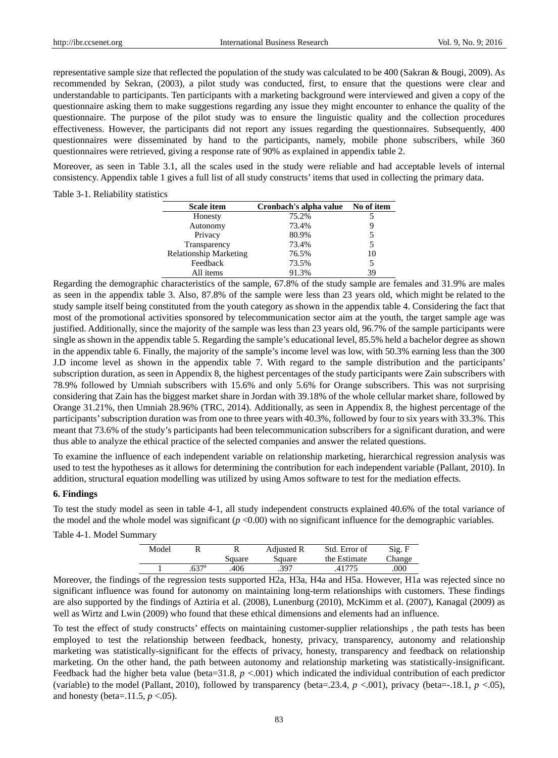representative sample size that reflected the population of the study was calculated to be 400 (Sakran & Bougi, 2009). As recommended by Sekran, (2003), a pilot study was conducted, first, to ensure that the questions were clear and understandable to participants. Ten participants with a marketing background were interviewed and given a copy of the questionnaire asking them to make suggestions regarding any issue they might encounter to enhance the quality of the questionnaire. The purpose of the pilot study was to ensure the linguistic quality and the collection procedures effectiveness. However, the participants did not report any issues regarding the questionnaires. Subsequently, 400 questionnaires were disseminated by hand to the participants, namely, mobile phone subscribers, while 360 questionnaires were retrieved, giving a response rate of 90% as explained in appendix table 2.

Moreover, as seen in Table 3.1, all the scales used in the study were reliable and had acceptable levels of internal consistency. Appendix table 1 gives a full list of all study constructs' items that used in collecting the primary data.

#### Table 3-1. Reliability statistics

| Scale item                    | Cronbach's alpha value | No of item |
|-------------------------------|------------------------|------------|
| Honesty                       | 75.2%                  |            |
| Autonomy                      | 73.4%                  | g          |
| Privacy                       | 80.9%                  |            |
| Transparency                  | 73.4%                  | 5          |
| <b>Relationship Marketing</b> | 76.5%                  | 10         |
| Feedback                      | 73.5%                  | 5          |
| All items                     | 91.3%                  | 39         |

Regarding the demographic characteristics of the sample, 67.8% of the study sample are females and 31.9% are males as seen in the appendix table 3. Also, 87.8% of the sample were less than 23 years old, which might be related to the study sample itself being constituted from the youth category as shown in the appendix table 4. Considering the fact that most of the promotional activities sponsored by telecommunication sector aim at the youth, the target sample age was justified. Additionally, since the majority of the sample was less than 23 years old, 96.7% of the sample participants were single as shown in the appendix table 5. Regarding the sample's educational level, 85.5% held a bachelor degree as shown in the appendix table 6. Finally, the majority of the sample's income level was low, with 50.3% earning less than the 300 J.D income level as shown in the appendix table 7. With regard to the sample distribution and the participants' subscription duration, as seen in Appendix 8, the highest percentages of the study participants were Zain subscribers with 78.9% followed by Umniah subscribers with 15.6% and only 5.6% for Orange subscribers. This was not surprising considering that Zain has the biggest market share in Jordan with 39.18% of the whole cellular market share, followed by Orange 31.21%, then Umniah 28.96% (TRC, 2014). Additionally, as seen in Appendix 8, the highest percentage of the participants' subscription duration was from one to three years with 40.3%, followed by four to six years with 33.3%. This meant that 73.6% of the study's participants had been telecommunication subscribers for a significant duration, and were thus able to analyze the ethical practice of the selected companies and answer the related questions.

To examine the influence of each independent variable on relationship marketing, hierarchical regression analysis was used to test the hypotheses as it allows for determining the contribution for each independent variable (Pallant, 2010). In addition, structural equation modelling was utilized by using Amos software to test for the mediation effects.

#### **6. Findings**

To test the study model as seen in table 4-1, all study independent constructs explained 40.6% of the total variance of the model and the whole model was significant  $(p \le 0.00)$  with no significant influence for the demographic variables.

Table 4-1. Model Summary

| Model |                   |        | Adjusted R | Std. Error of | Sig. F |
|-------|-------------------|--------|------------|---------------|--------|
|       |                   | Square | Square     | the Estimate  | Change |
|       | .637 <sup>a</sup> | 406    | .397       | .41775        | .000   |
|       |                   |        |            |               |        |

Moreover, the findings of the regression tests supported H2a, H3a, H4a and H5a. However, H1a was rejected since no significant influence was found for autonomy on maintaining long-term relationships with customers. These findings are also supported by the findings of Aztiria et al. (2008), Lunenburg (2010), McKimm et al. (2007), Kanagal (2009) as well as Wirtz and Lwin (2009) who found that these ethical dimensions and elements had an influence.

To test the effect of study constructs' effects on maintaining customer-supplier relationships , the path tests has been employed to test the relationship between feedback, honesty, privacy, transparency, autonomy and relationship marketing was statistically-significant for the effects of privacy, honesty, transparency and feedback on relationship marketing. On the other hand, the path between autonomy and relationship marketing was statistically-insignificant. Feedback had the higher beta value (beta=31.8, *p* <.001) which indicated the individual contribution of each predictor (variable) to the model (Pallant, 2010), followed by transparency (beta=.23.4,  $p < .001$ ), privacy (beta= $-18.1, p < .05$ ), and honesty (beta=.11.5, *p* <.05).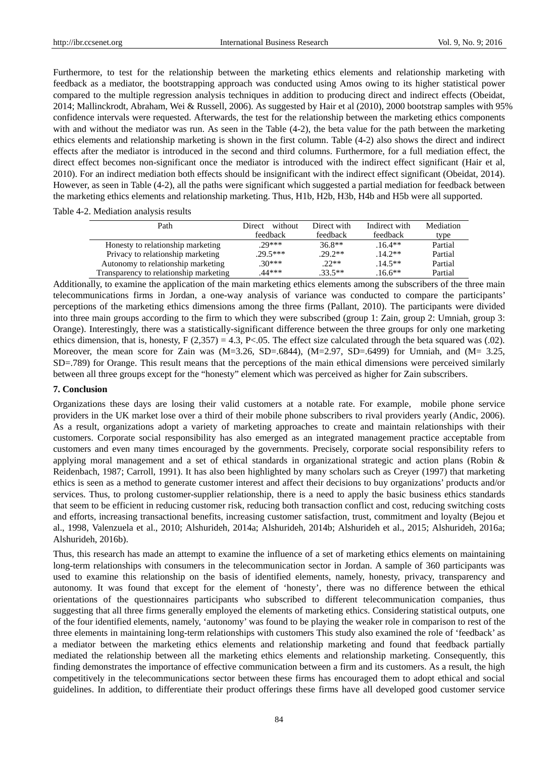Furthermore, to test for the relationship between the marketing ethics elements and relationship marketing with feedback as a mediator, the bootstrapping approach was conducted using Amos owing to its higher statistical power compared to the multiple regression analysis techniques in addition to producing direct and indirect effects (Obeidat, 2014; Mallinckrodt, Abraham, Wei & Russell, 2006). As suggested by Hair et al (2010), 2000 bootstrap samples with 95% confidence intervals were requested. Afterwards, the test for the relationship between the marketing ethics components with and without the mediator was run. As seen in the Table (4-2), the beta value for the path between the marketing ethics elements and relationship marketing is shown in the first column. Table (4-2) also shows the direct and indirect effects after the mediator is introduced in the second and third columns. Furthermore, for a full mediation effect, the direct effect becomes non-significant once the mediator is introduced with the indirect effect significant (Hair et al, 2010). For an indirect mediation both effects should be insignificant with the indirect effect significant (Obeidat, 2014). However, as seen in Table (4-2), all the paths were significant which suggested a partial mediation for feedback between the marketing ethics elements and relationship marketing. Thus, H1b, H2b, H3b, H4b and H5b were all supported.

Table 4-2. Mediation analysis results

| Path                                   | without<br>Direct | Direct with | Indirect with | Mediation |
|----------------------------------------|-------------------|-------------|---------------|-----------|
|                                        | feedback          | feedback    | feedback      | type      |
| Honesty to relationship marketing      | $70***$           | $36.8**$    | $.16.4**$     | Partial   |
| Privacy to relationship marketing      | $29.5***$         | $29.2**$    | $14.2**$      | Partial   |
| Autonomy to relationship marketing     | $30***$           | $22**$      | $14.5**$      | Partial   |
| Transparency to relationship marketing | 44***             | $.33.5**$   | $16.6***$     | Partial   |

Additionally, to examine the application of the main marketing ethics elements among the subscribers of the three main telecommunications firms in Jordan, a one-way analysis of variance was conducted to compare the participants' perceptions of the marketing ethics dimensions among the three firms (Pallant, 2010). The participants were divided into three main groups according to the firm to which they were subscribed (group 1: Zain, group 2: Umniah, group 3: Orange). Interestingly, there was a statistically-significant difference between the three groups for only one marketing ethics dimension, that is, honesty,  $F(2,357) = 4.3$ ,  $P(-8.5)$ . The effect size calculated through the beta squared was  $(0.02)$ . Moreover, the mean score for Zain was  $(M=3.26, SD=.6844)$ ,  $(M=2.97, SD=.6499)$  for Umniah, and  $(M=3.25,$ SD=.789) for Orange. This result means that the perceptions of the main ethical dimensions were perceived similarly between all three groups except for the "honesty" element which was perceived as higher for Zain subscribers.

#### **7. Conclusion**

Organizations these days are losing their valid customers at a notable rate. For example, mobile phone service providers in the UK market lose over a third of their mobile phone subscribers to rival providers yearly (Andic, 2006). As a result, organizations adopt a variety of marketing approaches to create and maintain relationships with their customers. Corporate social responsibility has also emerged as an integrated management practice acceptable from customers and even many times encouraged by the governments. Precisely, corporate social responsibility refers to applying moral management and a set of ethical standards in organizational strategic and action plans (Robin & Reidenbach, 1987; Carroll, 1991). It has also been highlighted by many scholars such as Creyer (1997) that marketing ethics is seen as a method to generate customer interest and affect their decisions to buy organizations' products and/or services. Thus, to prolong customer-supplier relationship, there is a need to apply the basic business ethics standards that seem to be efficient in reducing customer risk, reducing both transaction conflict and cost, reducing switching costs and efforts, increasing transactional benefits, increasing customer satisfaction, trust, commitment and loyalty (Bejou et al., 1998, Valenzuela et al., 2010; Alshurideh, 2014a; Alshurideh, 2014b; Alshurideh et al., 2015; Alshurideh, 2016a; Alshurideh, 2016b).

Thus, this research has made an attempt to examine the influence of a set of marketing ethics elements on maintaining long-term relationships with consumers in the telecommunication sector in Jordan. A sample of 360 participants was used to examine this relationship on the basis of identified elements, namely, honesty, privacy, transparency and autonomy. It was found that except for the element of 'honesty', there was no difference between the ethical orientations of the questionnaires participants who subscribed to different telecommunication companies, thus suggesting that all three firms generally employed the elements of marketing ethics. Considering statistical outputs, one of the four identified elements, namely, 'autonomy' was found to be playing the weaker role in comparison to rest of the three elements in maintaining long-term relationships with customers This study also examined the role of 'feedback' as a mediator between the marketing ethics elements and relationship marketing and found that feedback partially mediated the relationship between all the marketing ethics elements and relationship marketing. Consequently, this finding demonstrates the importance of effective communication between a firm and its customers. As a result, the high competitively in the telecommunications sector between these firms has encouraged them to adopt ethical and social guidelines. In addition, to differentiate their product offerings these firms have all developed good customer service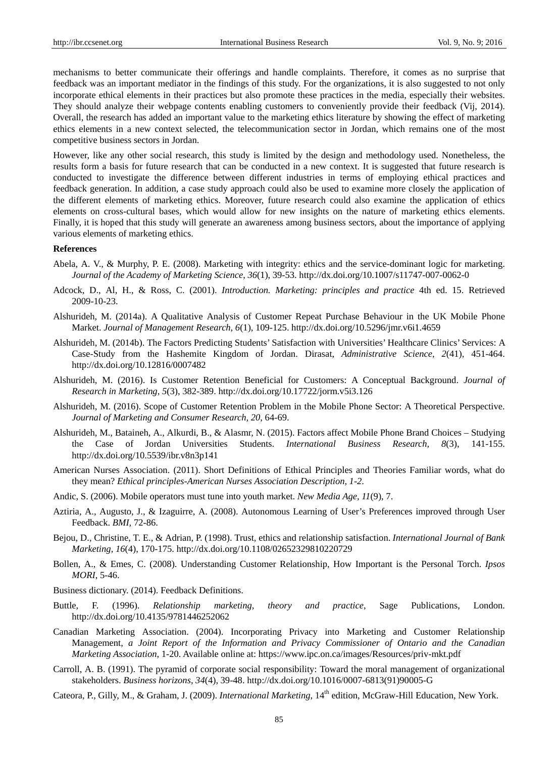mechanisms to better communicate their offerings and handle complaints. Therefore, it comes as no surprise that feedback was an important mediator in the findings of this study. For the organizations, it is also suggested to not only incorporate ethical elements in their practices but also promote these practices in the media, especially their websites. They should analyze their webpage contents enabling customers to conveniently provide their feedback (Vij, 2014). Overall, the research has added an important value to the marketing ethics literature by showing the effect of marketing ethics elements in a new context selected, the telecommunication sector in Jordan, which remains one of the most competitive business sectors in Jordan.

However, like any other social research, this study is limited by the design and methodology used. Nonetheless, the results form a basis for future research that can be conducted in a new context. It is suggested that future research is conducted to investigate the difference between different industries in terms of employing ethical practices and feedback generation. In addition, a case study approach could also be used to examine more closely the application of the different elements of marketing ethics. Moreover, future research could also examine the application of ethics elements on cross-cultural bases, which would allow for new insights on the nature of marketing ethics elements. Finally, it is hoped that this study will generate an awareness among business sectors, about the importance of applying various elements of marketing ethics.

#### **References**

- Abela, A. V., & Murphy, P. E. (2008). Marketing with integrity: ethics and the service-dominant logic for marketing. *Journal of the Academy of Marketing Science*, *36*(1), 39-53. http://dx.doi.org/10.1007/s11747-007-0062-0
- Adcock, D., Al, H., & Ross, C. (2001). *Introduction. Marketing: principles and practice* 4th ed. 15. Retrieved 2009-10-23.
- Alshurideh, M. (2014a). A Qualitative Analysis of Customer Repeat Purchase Behaviour in the UK Mobile Phone Market. *Journal of Management Research*, *6*(1), 109-125. http://dx.doi.org/10.5296/jmr.v6i1.4659
- Alshurideh, M. (2014b). The Factors Predicting Students' Satisfaction with Universities' Healthcare Clinics' Services: A Case-Study from the Hashemite Kingdom of Jordan. Dirasat, *Administrative Science*, *2*(41), 451-464. http://dx.doi.org/10.12816/0007482
- Alshurideh, M. (2016). Is Customer Retention Beneficial for Customers: A Conceptual Background. *Journal of Research in Marketing, 5*(3), 382-389. http://dx.doi.org/10.17722/jorm.v5i3.126
- Alshurideh, M. (2016). Scope of Customer Retention Problem in the Mobile Phone Sector: A Theoretical Perspective. *Journal of Marketing and Consumer Research, 20*, 64-69.
- Alshurideh, M., Bataineh, A., Alkurdi, B., & Alasmr, N. (2015). Factors affect Mobile Phone Brand Choices Studying the Case of Jordan Universities Students. *International Business Research, 8*(3), 141-155. http://dx.doi.org/10.5539/ibr.v8n3p141
- American Nurses Association. (2011). Short Definitions of Ethical Principles and Theories Familiar words, what do they mean? *Ethical principles-American Nurses Association Description, 1-2*.
- Andic, S. (2006). Mobile operators must tune into youth market. *New Media Age, 11*(9), 7.
- Aztiria, A., Augusto, J., & Izaguirre, A. (2008). Autonomous Learning of User's Preferences improved through User Feedback. *BMI,* 72-86.
- Bejou, D., Christine, T. E., & Adrian, P. (1998). Trust, ethics and relationship satisfaction. *International Journal of Bank Marketing*, *16*(4), 170-175. http://dx.doi.org/10.1108/02652329810220729
- Bollen, A., & Emes, C. (2008). Understanding Customer Relationship, How Important is the Personal Torch. *Ipsos MORI*, 5-46.
- Business dictionary. (2014). Feedback Definitions.
- Buttle, F. (1996). *Relationship marketing, theory and practice*, Sage Publications, London. http://dx.doi.org/10.4135/9781446252062
- Canadian Marketing Association. (2004). Incorporating Privacy into Marketing and Customer Relationship Management, *a Joint Report of the Information and Privacy Commissioner of Ontario and the Canadian Marketing Association*, 1-20. Available online at: https://www.ipc.on.ca/images/Resources/priv-mkt.pdf
- Carroll, A. B. (1991). The pyramid of corporate social responsibility: Toward the moral management of organizational stakeholders. *Business horizons, 34*(4), 39-48. http://dx.doi.org/10.1016/0007-6813(91)90005-G
- Cateora, P., Gilly, M., & Graham, J. (2009). *International Marketing*, 14<sup>th</sup> edition, McGraw-Hill Education, New York.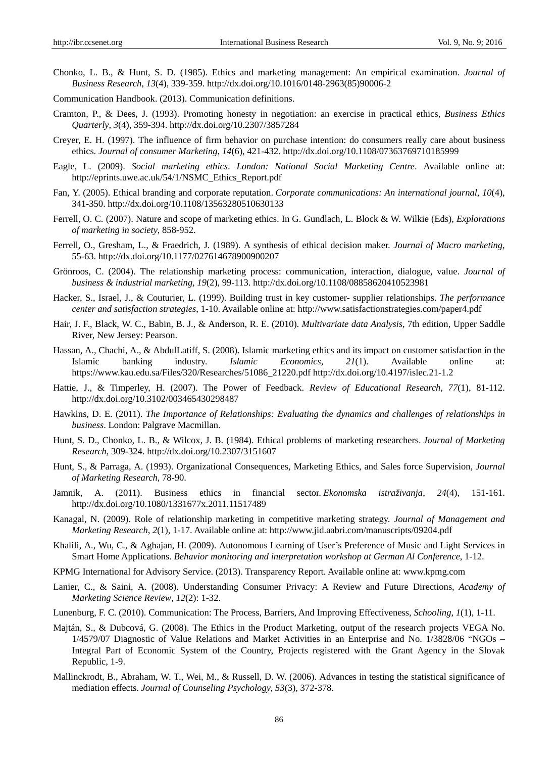- Chonko, L. B., & Hunt, S. D. (1985). Ethics and marketing management: An empirical examination. *Journal of Business Research*, *13*(4), 339-359. http://dx.doi.org/10.1016/0148-2963(85)90006-2
- Communication Handbook. (2013). Communication definitions.
- Cramton, P., & Dees, J. (1993). Promoting honesty in negotiation: an exercise in practical ethics, *Business Ethics Quarterly*, *3*(4), 359-394. http://dx.doi.org/10.2307/3857284
- Creyer, E. H. (1997). The influence of firm behavior on purchase intention: do consumers really care about business ethics. *Journal of consumer Marketing, 14*(6), 421-432. http://dx.doi.org/10.1108/07363769710185999
- Eagle, L. (2009). *Social marketing ethics*. *London: National Social Marketing Centre*. Available online at: http://eprints.uwe.ac.uk/54/1/NSMC\_Ethics\_Report.pdf
- Fan, Y. (2005). Ethical branding and corporate reputation. *Corporate communications: An international journal*, *10*(4), 341-350. http://dx.doi.org/10.1108/13563280510630133
- Ferrell, O. C. (2007). Nature and scope of marketing ethics. In G. Gundlach, L. Block & W. Wilkie (Eds), *Explorations of marketing in society*, 858-952.
- Ferrell, O., Gresham, L., & Fraedrich, J. (1989). A synthesis of ethical decision maker. *Journal of Macro marketing*, 55-63. http://dx.doi.org/10.1177/027614678900900207
- Grönroos, C. (2004). The relationship marketing process: communication, interaction, dialogue, value. *Journal of business & industrial marketing, 19*(2), 99-113. http://dx.doi.org/10.1108/08858620410523981
- Hacker, S., Israel, J., & Couturier, L. (1999). Building trust in key customer- supplier relationships. *The performance center and satisfaction strategies*, 1-10. Available online at: http://www.satisfactionstrategies.com/paper4.pdf
- Hair, J. F., Black, W. C., Babin, B. J., & Anderson, R. E. (2010). *Multivariate data Analysis*, 7th edition, Upper Saddle River, New Jersey: Pearson.
- Hassan, A., Chachi, A., & AbdulLatiff, S. (2008). Islamic marketing ethics and its impact on customer satisfaction in the Islamic banking industry. *Islamic Economics*, *21*(1). Available online at: https://www.kau.edu.sa/Files/320/Researches/51086\_21220.pdf http://dx.doi.org/10.4197/islec.21-1.2
- Hattie, J., & Timperley, H. (2007). The Power of Feedback. *Review of Educational Research*, *77*(1), 81-112. http://dx.doi.org/10.3102/003465430298487
- Hawkins, D. E. (2011). *The Importance of Relationships: Evaluating the dynamics and challenges of relationships in business*. London: Palgrave Macmillan.
- Hunt, S. D., Chonko, L. B., & Wilcox, J. B. (1984). Ethical problems of marketing researchers. *Journal of Marketing Research*, 309-324. http://dx.doi.org/10.2307/3151607
- Hunt, S., & Parraga, A. (1993). Organizational Consequences, Marketing Ethics, and Sales force Supervision, *Journal of Marketing Research*, 78-90.
- Jamnik, A. (2011). Business ethics in financial sector. *Ekonomska istraživanja*, *24*(4), 151-161. http://dx.doi.org/10.1080/1331677x.2011.11517489
- Kanagal, N. (2009). Role of relationship marketing in competitive marketing strategy. *Journal of Management and Marketing Research*, *2*(1), 1-17. Available online at: http://www.jid.aabri.com/manuscripts/09204.pdf
- Khalili, A., Wu, C., & Aghajan, H. (2009). Autonomous Learning of User's Preference of Music and Light Services in Smart Home Applications. *Behavior monitoring and interpretation workshop at German Al Conference*, 1-12.
- KPMG International for Advisory Service. (2013). Transparency Report. Available online at: www.kpmg.com
- Lanier, C., & Saini, A. (2008). Understanding Consumer Privacy: A Review and Future Directions, *Academy of Marketing Science Review*, *12*(2): 1-32.
- Lunenburg, F. C. (2010). Communication: The Process, Barriers, And Improving Effectiveness, *Schooling*, *1*(1), 1-11.
- Majtán, S., & Dubcová, G. (2008). The Ethics in the Product Marketing, output of the research projects VEGA No. 1/4579/07 Diagnostic of Value Relations and Market Activities in an Enterprise and No. 1/3828/06 "NGOs – Integral Part of Economic System of the Country, Projects registered with the Grant Agency in the Slovak Republic, 1-9.
- Mallinckrodt, B., Abraham, W. T., Wei, M., & Russell, D. W. (2006). Advances in testing the statistical significance of mediation effects. *Journal of Counseling Psychology*, *53*(3), 372-378.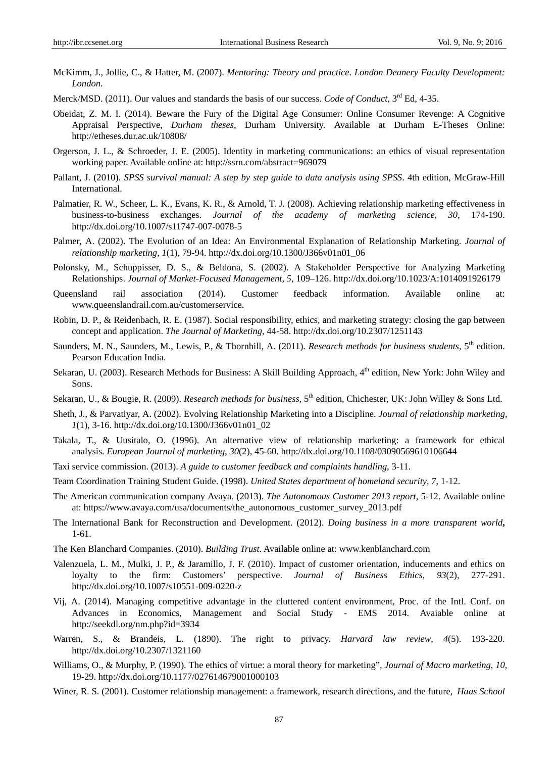- McKimm, J., Jollie, C., & Hatter, M. (2007). *Mentoring: Theory and practice*. *London Deanery Faculty Development: London*.
- Merck/MSD. (2011). Our values and standards the basis of our success. *Code of Conduct*, 3<sup>rd</sup> Ed, 4-35.
- Obeidat, Z. M. I. (2014). Beware the Fury of the Digital Age Consumer: Online Consumer Revenge: A Cognitive Appraisal Perspective, *Durham theses*, Durham University. Available at Durham E-Theses Online: http://etheses.dur.ac.uk/10808/
- Orgerson, J. L., & Schroeder, J. E. (2005). Identity in marketing communications: an ethics of visual representation working paper. Available online at: http://ssrn.com/abstract=969079
- Pallant, J. (2010). *SPSS survival manual: A step by step guide to data analysis using SPSS*. 4th edition, McGraw-Hill International.
- Palmatier, R. W., Scheer, L. K., Evans, K. R., & Arnold, T. J. (2008). Achieving relationship marketing effectiveness in business-to-business exchanges. *Journal of the academy of marketing science*, *30*, 174-190. http://dx.doi.org/10.1007/s11747-007-0078-5
- Palmer, A. (2002). The Evolution of an Idea: An Environmental Explanation of Relationship Marketing. *Journal of relationship marketing*, *1*(1), 79-94. http://dx.doi.org/10.1300/J366v01n01\_06
- Polonsky, M., Schuppisser, D. S., & Beldona, S. (2002). A Stakeholder Perspective for Analyzing Marketing Relationships. *Journal of Market-Focused Management, 5*, 109–126. http://dx.doi.org/10.1023/A:1014091926179
- Queensland rail association (2014). Customer feedback information. Available online at: www.queenslandrail.com.au/customerservice.
- Robin, D. P., & Reidenbach, R. E. (1987). Social responsibility, ethics, and marketing strategy: closing the gap between concept and application. *The Journal of Marketing*, 44-58. http://dx.doi.org/10.2307/1251143
- Saunders, M. N., Saunders, M., Lewis, P., & Thornhill, A. (2011). *Research methods for business students*. 5<sup>th</sup> edition. Pearson Education India.
- Sekaran, U. (2003). Research Methods for Business: A Skill Building Approach, 4<sup>th</sup> edition, New York: John Wiley and Sons.
- Sekaran, U., & Bougie, R. (2009). *Research methods for business*, 5th edition, Chichester, UK: John Willey & Sons Ltd.
- Sheth, J., & Parvatiyar, A. (2002). Evolving Relationship Marketing into a Discipline. *Journal of relationship marketing, 1*(1), 3-16. http://dx.doi.org/10.1300/J366v01n01\_02
- Takala, T., & Uusitalo, O. (1996). An alternative view of relationship marketing: a framework for ethical analysis. *European Journal of marketing*, *30*(2), 45-60. http://dx.doi.org/10.1108/03090569610106644
- Taxi service commission. (2013). *A guide to customer feedback and complaints handling*, 3-11.
- Team Coordination Training Student Guide. (1998). *United States department of homeland security*, *7*, 1-12.
- The American communication company Avaya. (2013). *The Autonomous Customer 2013 report,* 5-12. Available online at: https://www.avaya.com/usa/documents/the\_autonomous\_customer\_survey\_2013.pdf
- The International Bank for Reconstruction and Development. (2012). *Doing business in a more transparent world***,**  1-61.
- The Ken Blanchard Companies. (2010). *Building Trust*. Available online at: www.kenblanchard.com
- Valenzuela, L. M., Mulki, J. P., & Jaramillo, J. F. (2010). Impact of customer orientation, inducements and ethics on loyalty to the firm: Customers' perspective. *Journal of Business Ethics, 93*(2), 277-291. http://dx.doi.org/10.1007/s10551-009-0220-z
- Vij, A. (2014). Managing competitive advantage in the cluttered content environment, Proc. of the Intl. Conf. on Advances in Economics, Management and Social Study - EMS 2014. Avaiable online at http://seekdl.org/nm.php?id=3934
- Warren, S., & Brandeis, L. (1890). The right to privacy. *Harvard law review*, *4*(5). 193-220. http://dx.doi.org/10.2307/1321160
- Williams, O., & Murphy, P. (1990). The ethics of virtue: a moral theory for marketing", *Journal of Macro marketing*, *10*, 19-29. http://dx.doi.org/10.1177/027614679001000103
- Winer, R. S. (2001). Customer relationship management: a framework, research directions, and the future, *Haas School*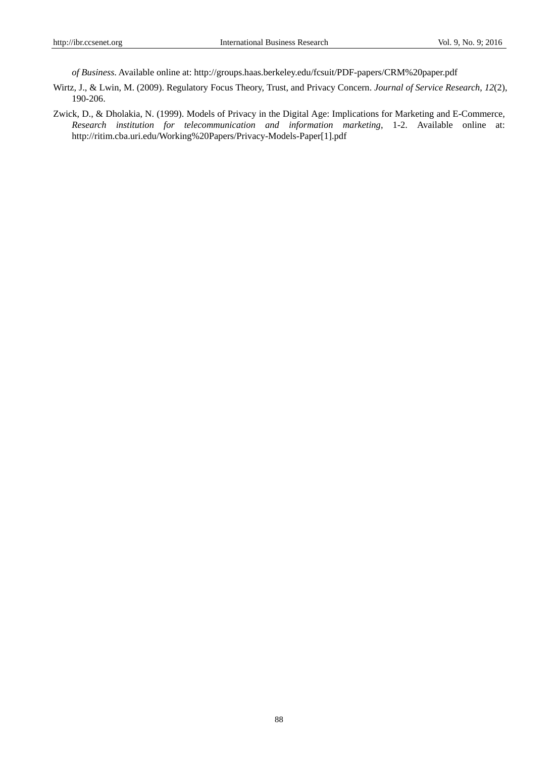*of Business*. Available online at: http://groups.haas.berkeley.edu/fcsuit/PDF-papers/CRM%20paper.pdf

- Wirtz, J., & Lwin, M. (2009). Regulatory Focus Theory, Trust, and Privacy Concern. *Journal of Service Research*, *12*(2), 190-206.
- Zwick, D., & Dholakia, N. (1999). Models of Privacy in the Digital Age: Implications for Marketing and E-Commerce*, Research institution for telecommunication and information marketing*, 1-2. Available online at: http://ritim.cba.uri.edu/Working%20Papers/Privacy-Models-Paper[1].pdf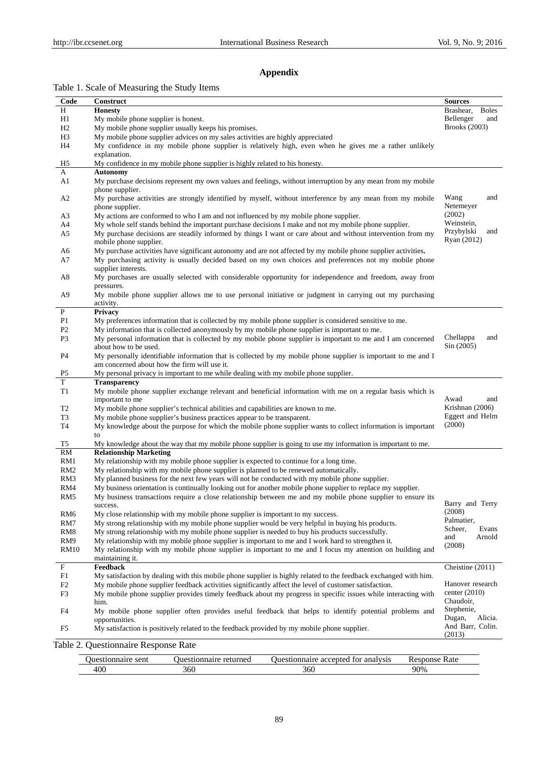# **Appendix**

# Table 1. Scale of Measuring the Study Items

| Code                      | Construct                                                                                                                                                     | <b>Sources</b>                               |
|---------------------------|---------------------------------------------------------------------------------------------------------------------------------------------------------------|----------------------------------------------|
| H                         | <b>Honesty</b>                                                                                                                                                | Brashear,<br><b>Boles</b>                    |
| Η1                        | My mobile phone supplier is honest.                                                                                                                           | Bellenger<br>and                             |
| H2                        | My mobile phone supplier usually keeps his promises.                                                                                                          | <b>Brooks</b> (2003)                         |
| H3                        | My mobile phone supplier advices on my sales activities are highly appreciated                                                                                |                                              |
| H4                        | My confidence in my mobile phone supplier is relatively high, even when he gives me a rather unlikely                                                         |                                              |
|                           | explanation.                                                                                                                                                  |                                              |
| H5                        | My confidence in my mobile phone supplier is highly related to his honesty.                                                                                   |                                              |
| A                         | <b>Autonomy</b>                                                                                                                                               |                                              |
| A1                        | My purchase decisions represent my own values and feelings, without interruption by any mean from my mobile<br>phone supplier.                                |                                              |
| A2                        | My purchase activities are strongly identified by myself, without interference by any mean from my mobile<br>phone supplier.                                  | Wang<br>and<br>Netemeyer                     |
| A3                        | My actions are conformed to who I am and not influenced by my mobile phone supplier.                                                                          | (2002)                                       |
| A4                        | My whole self stands behind the important purchase decisions I make and not my mobile phone supplier.                                                         | Weinstein,                                   |
| A5                        | My purchase decisions are steadily informed by things I want or care about and without intervention from my<br>mobile phone supplier.                         | Przybylski<br>and<br>Ryan (2012)             |
| A6                        | My purchase activities have significant autonomy and are not affected by my mobile phone supplier activities.                                                 |                                              |
| A7                        | My purchasing activity is usually decided based on my own choices and preferences not my mobile phone<br>supplier interests.                                  |                                              |
| A8                        | My purchases are usually selected with considerable opportunity for independence and freedom, away from<br>pressures.                                         |                                              |
| A9                        | My mobile phone supplier allows me to use personal initiative or judgment in carrying out my purchasing<br>activity.                                          |                                              |
| P                         | <b>Privacy</b>                                                                                                                                                |                                              |
| P1                        | My preferences information that is collected by my mobile phone supplier is considered sensitive to me.                                                       |                                              |
| P <sub>2</sub>            | My information that is collected anonymously by my mobile phone supplier is important to me.                                                                  |                                              |
| P3                        | My personal information that is collected by my mobile phone supplier is important to me and I am concerned<br>about how to be used.                          | Chellappa<br>and<br>Sin(2005)                |
| P4                        | My personally identifiable information that is collected by my mobile phone supplier is important to me and I<br>am concerned about how the firm will use it. |                                              |
| P5                        | My personal privacy is important to me while dealing with my mobile phone supplier.                                                                           |                                              |
| т                         | <b>Transparency</b>                                                                                                                                           |                                              |
| T1                        | My mobile phone supplier exchange relevant and beneficial information with me on a regular basis which is<br>important to me                                  | Awad<br>and                                  |
| T <sub>2</sub>            | My mobile phone supplier's technical abilities and capabilities are known to me.                                                                              | Krishnan (2006)                              |
| T <sub>3</sub>            | My mobile phone supplier's business practices appear to be transparent.                                                                                       | Eggert and Helm                              |
| T4                        | My knowledge about the purpose for which the mobile phone supplier wants to collect information is important                                                  | (2000)                                       |
|                           | to                                                                                                                                                            |                                              |
| T5                        | My knowledge about the way that my mobile phone supplier is going to use my information is important to me.                                                   |                                              |
| RM                        | <b>Relationship Marketing</b>                                                                                                                                 |                                              |
| RM1                       | My relationship with my mobile phone supplier is expected to continue for a long time.                                                                        |                                              |
| RM <sub>2</sub>           | My relationship with my mobile phone supplier is planned to be renewed automatically.                                                                         |                                              |
| RM3                       | My planned business for the next few years will not be conducted with my mobile phone supplier.                                                               |                                              |
| RM4                       | My business orientation is continually looking out for another mobile phone supplier to replace my supplier.                                                  |                                              |
| RM5                       | My business transactions require a close relationship between me and my mobile phone supplier to ensure its<br>success.                                       | Barry and Terry                              |
| RM6                       | My close relationship with my mobile phone supplier is important to my success.                                                                               | (2008)                                       |
| RM7                       | My strong relationship with my mobile phone supplier would be very helpful in buying his products.                                                            | Palmatier,                                   |
| RM8                       | My strong relationship with my mobile phone supplier is needed to buy his products successfully.                                                              | Scheer,<br>Evans                             |
| RM9                       | My relationship with my mobile phone supplier is important to me and I work hard to strengthen it.                                                            | and<br>Arnold                                |
| <b>RM10</b>               | My relationship with my mobile phone supplier is important to me and I focus my attention on building and<br>maintaining it.                                  | (2008)                                       |
| $\boldsymbol{\mathrm{F}}$ | Feedback                                                                                                                                                      | Cheistine (2011)                             |
| F1                        | My satisfaction by dealing with this mobile phone supplier is highly related to the feedback exchanged with him.                                              |                                              |
| F2                        | My mobile phone supplier feedback activities significantly affect the level of customer satisfaction.                                                         | Hanover research                             |
| F3                        | My mobile phone supplier provides timely feedback about my progress in specific issues while interacting with                                                 | center $(2010)$                              |
| F4                        | him.<br>My mobile phone supplier often provides useful feedback that helps to identify potential problems and<br>opportunities.                               | Chaudoir,<br>Stephenie,<br>Dugan,<br>Alicia. |
| F5                        | My satisfaction is positively related to the feedback provided by my mobile phone supplier.                                                                   | And Barr, Colin.<br>(2013)                   |
|                           | Table 2. Questionnaire Response Rate                                                                                                                          |                                              |
|                           |                                                                                                                                                               |                                              |

| 0.011C<br>sen<br>Jues <sup>1</sup><br>SU O<br>анал | 91TQ<br>urned<br>$r$ et | analysis<br>maire<br>accepted<br>tor<br>$n\epsilon$<br><b>STIOI</b> | Kate<br>nonse.<br>$\cdots$ |
|----------------------------------------------------|-------------------------|---------------------------------------------------------------------|----------------------------|
| 400                                                | 360                     | 360                                                                 | 90%                        |